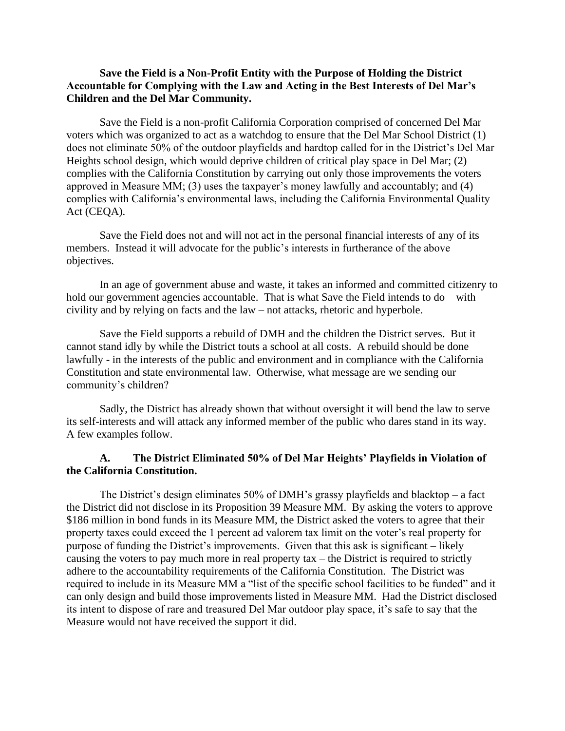## **Save the Field is a Non-Profit Entity with the Purpose of Holding the District Accountable for Complying with the Law and Acting in the Best Interests of Del Mar's Children and the Del Mar Community.**

Save the Field is a non-profit California Corporation comprised of concerned Del Mar voters which was organized to act as a watchdog to ensure that the Del Mar School District (1) does not eliminate 50% of the outdoor playfields and hardtop called for in the District's Del Mar Heights school design, which would deprive children of critical play space in Del Mar; (2) complies with the California Constitution by carrying out only those improvements the voters approved in Measure MM; (3) uses the taxpayer's money lawfully and accountably; and (4) complies with California's environmental laws, including the California Environmental Quality Act (CEQA).

Save the Field does not and will not act in the personal financial interests of any of its members. Instead it will advocate for the public's interests in furtherance of the above objectives.

In an age of government abuse and waste, it takes an informed and committed citizenry to hold our government agencies accountable. That is what Save the Field intends to do – with civility and by relying on facts and the law – not attacks, rhetoric and hyperbole.

Save the Field supports a rebuild of DMH and the children the District serves. But it cannot stand idly by while the District touts a school at all costs. A rebuild should be done lawfully - in the interests of the public and environment and in compliance with the California Constitution and state environmental law. Otherwise, what message are we sending our community's children?

Sadly, the District has already shown that without oversight it will bend the law to serve its self-interests and will attack any informed member of the public who dares stand in its way. A few examples follow.

## **A. The District Eliminated 50% of Del Mar Heights' Playfields in Violation of the California Constitution.**

The District's design eliminates 50% of DMH's grassy playfields and blacktop  $-$  a fact the District did not disclose in its Proposition 39 Measure MM. By asking the voters to approve \$186 million in bond funds in its Measure MM, the District asked the voters to agree that their property taxes could exceed the 1 percent ad valorem tax limit on the voter's real property for purpose of funding the District's improvements. Given that this ask is significant – likely causing the voters to pay much more in real property tax – the District is required to strictly adhere to the accountability requirements of the California Constitution. The District was required to include in its Measure MM a "list of the specific school facilities to be funded" and it can only design and build those improvements listed in Measure MM. Had the District disclosed its intent to dispose of rare and treasured Del Mar outdoor play space, it's safe to say that the Measure would not have received the support it did.